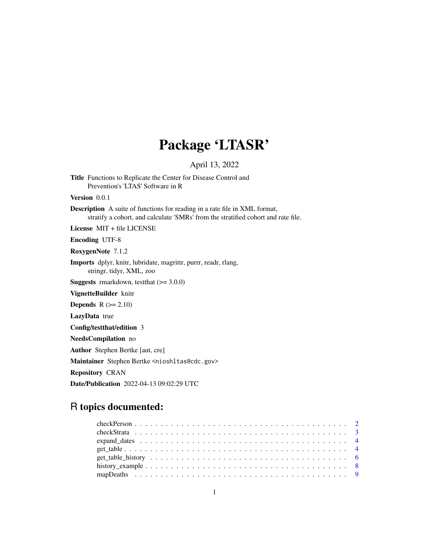## Package 'LTASR'

April 13, 2022

Title Functions to Replicate the Center for Disease Control and Prevention's 'LTAS' Software in R

Version 0.0.1

Description A suite of functions for reading in a rate file in XML format, stratify a cohort, and calculate 'SMRs' from the stratified cohort and rate file.

License MIT + file LICENSE

Encoding UTF-8

RoxygenNote 7.1.2

Imports dplyr, knitr, lubridate, magrittr, purrr, readr, rlang, stringr, tidyr, XML, zoo

**Suggests** rmarkdown, test that  $(>= 3.0.0)$ 

VignetteBuilder knitr

**Depends**  $R$  ( $>= 2.10$ )

LazyData true

Config/testthat/edition 3

NeedsCompilation no

Author Stephen Bertke [aut, cre]

Maintainer Stephen Bertke <nioshltas@cdc.gov>

Repository CRAN

Date/Publication 2022-04-13 09:02:29 UTC

## R topics documented: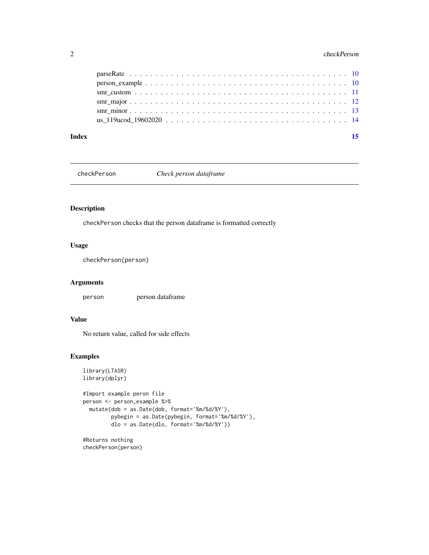#### <span id="page-1-0"></span>2 checkPerson and the checkPerson and the checkPerson and the checkPerson and the checkPerson and the checkPerson

#### **Index** [15](#page-14-0)

checkPerson *Check person dataframe*

## Description

checkPerson checks that the person dataframe is formatted correctly

## Usage

checkPerson(person)

### Arguments

person person dataframe

## Value

No return value, called for side effects

```
library(LTASR)
library(dplyr)
#Import example peron file
person <- person_example %>%
  mutate(dob = as.Date(dob, format='%m/%d/%Y'),
         pybegin = as.Date(pybegin, format='%m/%d/%Y'),
        dlo = as.Date(dlo, format='%m/%d/%Y'))
```

```
#Returns nothing
checkPerson(person)
```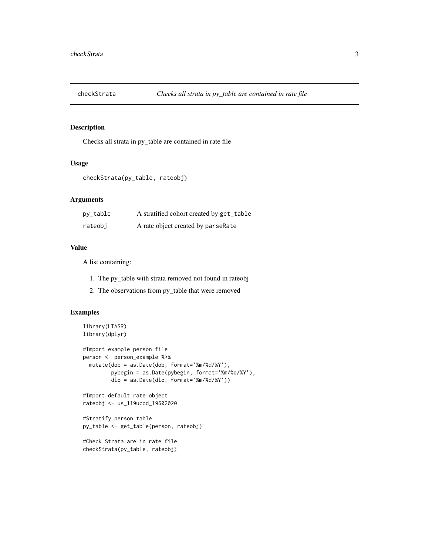<span id="page-2-0"></span>

Checks all strata in py\_table are contained in rate file

#### Usage

```
checkStrata(py_table, rateobj)
```
#### Arguments

| py_table | A stratified cohort created by get_table |
|----------|------------------------------------------|
| rateobi  | A rate object created by parseRate       |

#### Value

A list containing:

- 1. The py\_table with strata removed not found in rateobj
- 2. The observations from py\_table that were removed

```
library(LTASR)
library(dplyr)
#Import example person file
person <- person_example %>%
  mutate(dob = as.Date(dob, format='%m/%d/%Y'),
         pybegin = as.Date(pybegin, format='%m/%d/%Y'),
        dlo = as.Date(dlo, format='%m/%d/%Y'))
#Import default rate object
rateobj <- us_119ucod_19602020
#Stratify person table
py_table <- get_table(person, rateobj)
#Check Strata are in rate file
checkStrata(py_table, rateobj)
```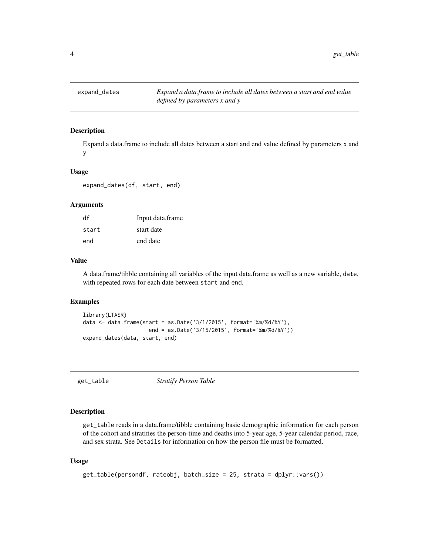<span id="page-3-0"></span>

Expand a data.frame to include all dates between a start and end value defined by parameters x and y

#### Usage

expand\_dates(df, start, end)

## Arguments

| df    | Input data.frame |
|-------|------------------|
| start | start date       |
| end   | end date         |

#### Value

A data.frame/tibble containing all variables of the input data.frame as well as a new variable, date, with repeated rows for each date between start and end.

#### Examples

```
library(LTASR)
data <- data.frame(start = as.Date('3/1/2015', format='%m/%d/%Y'),
                     end = as.Date('3/15/2015', format='%m/%d/%Y'))
expand_dates(data, start, end)
```

| get_table | <b>Stratify Person Table</b> |
|-----------|------------------------------|
|           |                              |

#### Description

get\_table reads in a data.frame/tibble containing basic demographic information for each person of the cohort and stratifies the person-time and deaths into 5-year age, 5-year calendar period, race, and sex strata. See Details for information on how the person file must be formatted.

#### Usage

```
get_table(persondf, rateobj, batch_size = 25, strata = dplyr::vars())
```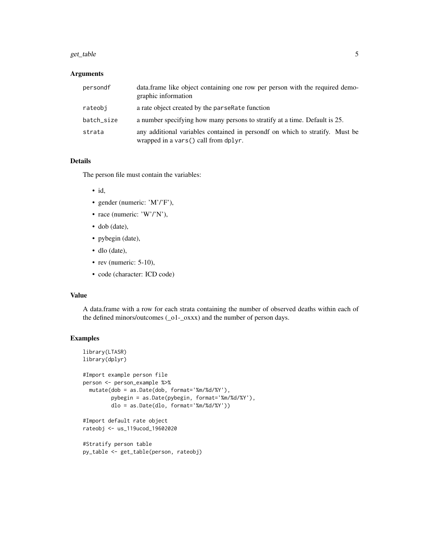#### get\_table 5

### Arguments

| persondf   | data.frame like object containing one row per person with the required demo-<br>graphic information                  |
|------------|----------------------------------------------------------------------------------------------------------------------|
| rateobi    | a rate object created by the parserest function                                                                      |
| batch_size | a number specifying how many persons to stratify at a time. Default is 25.                                           |
| strata     | any additional variables contained in persond fon which to stratify. Must be<br>wrapped in a vars() call from dplyr. |

#### Details

The person file must contain the variables:

- id,
- gender (numeric: 'M'/'F'),
- race (numeric: 'W'/'N'),
- dob (date),
- pybegin (date),
- dlo (date),
- rev (numeric: 5-10),
- code (character: ICD code)

## Value

A data.frame with a row for each strata containing the number of observed deaths within each of the defined minors/outcomes (\_o1-\_oxxx) and the number of person days.

```
library(LTASR)
library(dplyr)
#Import example person file
person <- person_example %>%
  mutate(dob = as.Date(dob, format='%m/%d/%Y'),
        pybegin = as.Date(pybegin, format='%m/%d/%Y'),
        dlo = as.Date(dlo, format='%m/%d/%Y'))
#Import default rate object
rateobj <- us_119ucod_19602020
```

```
#Stratify person table
py_table <- get_table(person, rateobj)
```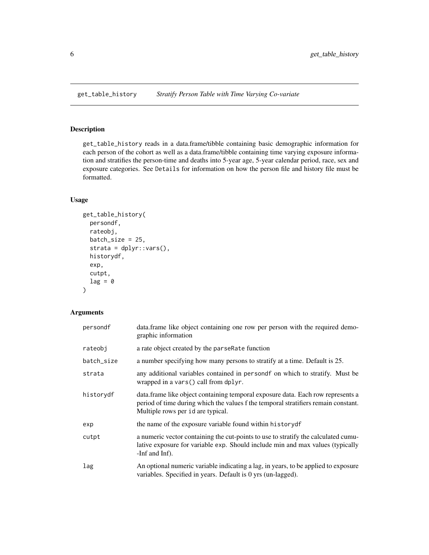<span id="page-5-0"></span>

get\_table\_history reads in a data.frame/tibble containing basic demographic information for each person of the cohort as well as a data.frame/tibble containing time varying exposure information and stratifies the person-time and deaths into 5-year age, 5-year calendar period, race, sex and exposure categories. See Details for information on how the person file and history file must be formatted.

## Usage

```
get_table_history(
 persondf,
  rateobj,
  batch_size = 25,
  strata = dplyr::vars(),
  historydf,
  exp,
  cutpt,
  lag = 0\lambda
```
## Arguments

| persondf   | data.frame like object containing one row per person with the required demo-<br>graphic information                                                                                                         |
|------------|-------------------------------------------------------------------------------------------------------------------------------------------------------------------------------------------------------------|
| rateobj    | a rate object created by the parserest function                                                                                                                                                             |
| batch_size | a number specifying how many persons to stratify at a time. Default is 25.                                                                                                                                  |
| strata     | any additional variables contained in persond form which to stratify. Must be<br>wrapped in a vars() call from dplyr.                                                                                       |
| historydf  | data. frame like object containing temporal exposure data. Each row represents a<br>period of time during which the values f the temporal stratifiers remain constant.<br>Multiple rows per id are typical. |
| exp        | the name of the exposure variable found within historydf                                                                                                                                                    |
| cutpt      | a numeric vector containing the cut-points to use to stratify the calculated cumu-<br>lative exposure for variable exp. Should include min and max values (typically<br>-Inf and Inf).                      |
| lag        | An optional numeric variable indicating a lag, in years, to be applied to exposure<br>variables. Specified in years. Default is 0 yrs (un-lagged).                                                          |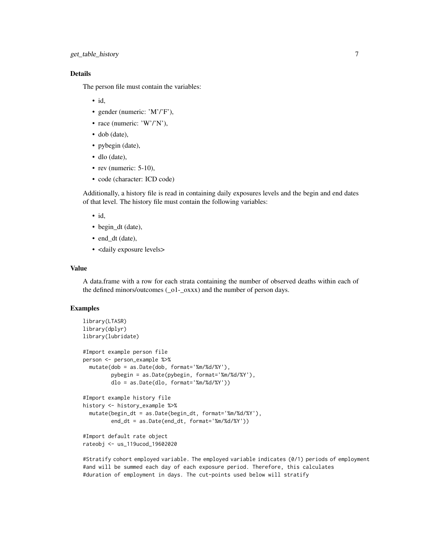## Details

The person file must contain the variables:

- id,
- gender (numeric: 'M'/'F'),
- race (numeric: 'W'/'N'),
- dob (date),
- pybegin (date),
- dlo (date),
- rev (numeric:  $5-10$ ),
- code (character: ICD code)

Additionally, a history file is read in containing daily exposures levels and the begin and end dates of that level. The history file must contain the following variables:

- id,
- begin\_dt (date),
- end\_dt (date),
- <daily exposure levels>

#### Value

A data.frame with a row for each strata containing the number of observed deaths within each of the defined minors/outcomes (\_o1-\_oxxx) and the number of person days.

#### Examples

```
library(LTASR)
library(dplyr)
library(lubridate)
#Import example person file
person <- person_example %>%
 mutate(dob = as.Date(dob, format='%m/%d/%Y'),
         pybegin = as.Date(pybegin, format='%m/%d/%Y'),
         dlo = as.Date(dlo, format='%m/%d/%Y'))
#Import example history file
history <- history_example %>%
 mutate(begin_dt = as.Date(begin_dt, format='%m/%d/%Y'),
         end_dt = as.Date(end_dt, format='%m/%d/%Y'))
#Import default rate object
```
rateobj <- us\_119ucod\_19602020

#Stratify cohort employed variable. The employed variable indicates (0/1) periods of employment #and will be summed each day of each exposure period. Therefore, this calculates #duration of employment in days. The cut-points used below will stratify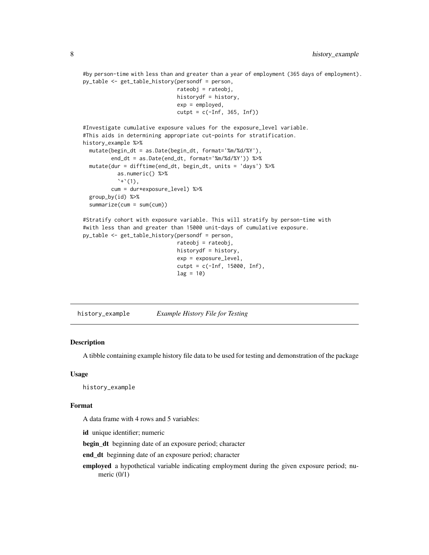<span id="page-7-0"></span>#by person-time with less than and greater than a year of employment (365 days of employment). py\_table <- get\_table\_history(persondf = person,

```
rateobj = rateobj,
historydf = history,
exp = employed,
cutpt = c(-Inf, 365, Inf))
```

```
#Investigate cumulative exposure values for the exposure_level variable.
#This aids in determining appropriate cut-points for stratification.
history_example %>%
 mutate(begin_dt = as.Date(begin_dt, format='%m/%d/%Y'),
         end_dt = as.Date(end_dt, format='%m/%d/%Y')) %>%
 mutate(dur = difftime(end_dt, begin_dt, units = 'days') %>%
           as.numeric() %>%
           '+'(1),
        cum = dur*exposure_level) %>%
 group_by(id) %>%
 summarize(cum = sum(cum))
#Stratify cohort with exposure variable. This will stratify by person-time with
```

```
#with less than and greater than 15000 unit-days of cumulative exposure.
py_table <- get_table_history(persondf = person,
                             rateobj = rateobj,
                             historydf = history,
                             exp = exposure_level,
                              cutpt = c(-Inf, 15000, Inf),
                              lag = 10
```
history\_example *Example History File for Testing*

### Description

A tibble containing example history file data to be used for testing and demonstration of the package

#### Usage

```
history_example
```
#### Format

A data frame with 4 rows and 5 variables:

id unique identifier; numeric

begin dt beginning date of an exposure period; character

end\_dt beginning date of an exposure period; character

employed a hypothetical variable indicating employment during the given exposure period; numeric (0/1)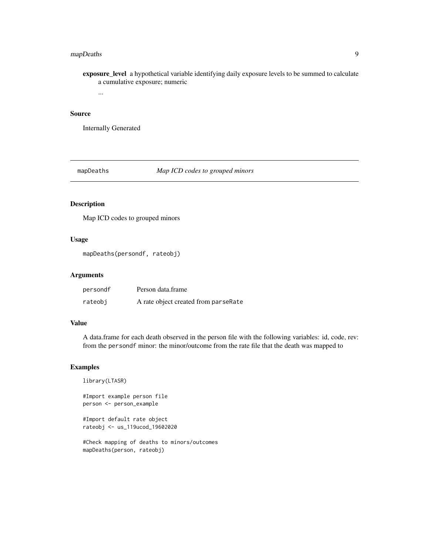## <span id="page-8-0"></span>mapDeaths 9

exposure\_level a hypothetical variable identifying daily exposure levels to be summed to calculate a cumulative exposure; numeric

...

## Source

Internally Generated

mapDeaths *Map ICD codes to grouped minors*

## Description

Map ICD codes to grouped minors

## Usage

mapDeaths(persondf, rateobj)

#### Arguments

| persondf | Person data.frame                    |
|----------|--------------------------------------|
| rateobj  | A rate object created from parseRate |

#### Value

A data.frame for each death observed in the person file with the following variables: id, code, rev: from the persondf minor: the minor/outcome from the rate file that the death was mapped to

#### Examples

```
library(LTASR)
#Import example person file
person <- person_example
```
#Import default rate object rateobj <- us\_119ucod\_19602020

#Check mapping of deaths to minors/outcomes mapDeaths(person, rateobj)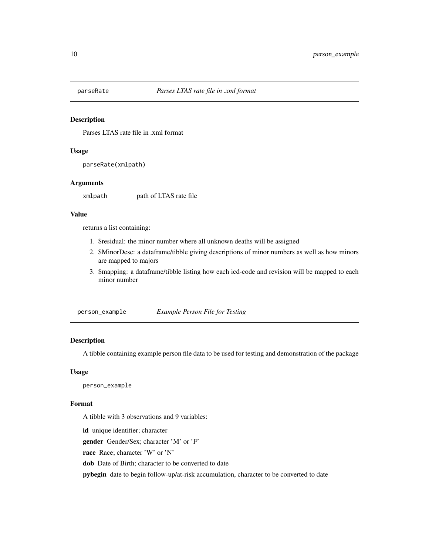<span id="page-9-0"></span>

Parses LTAS rate file in .xml format

#### Usage

parseRate(xmlpath)

#### Arguments

xmlpath path of LTAS rate file

#### Value

returns a list containing:

- 1. \$residual: the minor number where all unknown deaths will be assigned
- 2. \$MinorDesc: a dataframe/tibble giving descriptions of minor numbers as well as how minors are mapped to majors
- 3. \$mapping: a dataframe/tibble listing how each icd-code and revision will be mapped to each minor number

person\_example *Example Person File for Testing*

#### Description

A tibble containing example person file data to be used for testing and demonstration of the package

#### Usage

person\_example

#### Format

A tibble with 3 observations and 9 variables:

id unique identifier; character gender Gender/Sex; character 'M' or 'F' race Race; character 'W' or 'N'

dob Date of Birth; character to be converted to date

pybegin date to begin follow-up/at-risk accumulation, character to be converted to date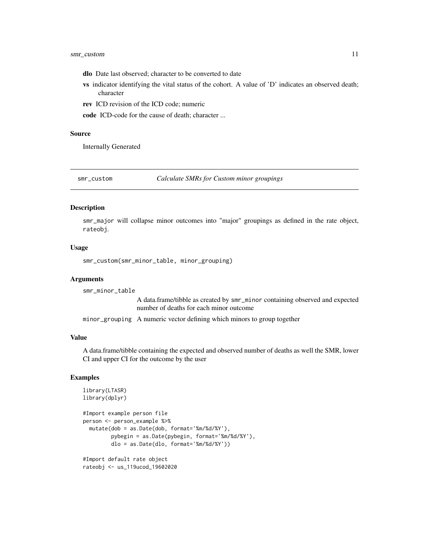- <span id="page-10-0"></span>dlo Date last observed; character to be converted to date
- vs indicator identifying the vital status of the cohort. A value of 'D' indicates an observed death; character
- rev ICD revision of the ICD code; numeric

code ICD-code for the cause of death; character ...

#### Source

Internally Generated

smr\_custom *Calculate SMRs for Custom minor groupings*

## Description

smr\_major will collapse minor outcomes into "major" groupings as defined in the rate object, rateobj.

#### Usage

```
smr_custom(smr_minor_table, minor_grouping)
```
#### Arguments

smr\_minor\_table

A data.frame/tibble as created by smr\_minor containing observed and expected number of deaths for each minor outcome

minor\_grouping A numeric vector defining which minors to group together

#### Value

A data.frame/tibble containing the expected and observed number of deaths as well the SMR, lower CI and upper CI for the outcome by the user

```
library(LTASR)
library(dplyr)
#Import example person file
person <- person_example %>%
 mutate(dob = as.Date(dob, format='%m/%d/%Y'),
         pybegin = as.Date(pybegin, format='%m/%d/%Y'),
         dlo = as.Date(dlo, format='%m/%d/%Y'))
#Import default rate object
rateobj <- us_119ucod_19602020
```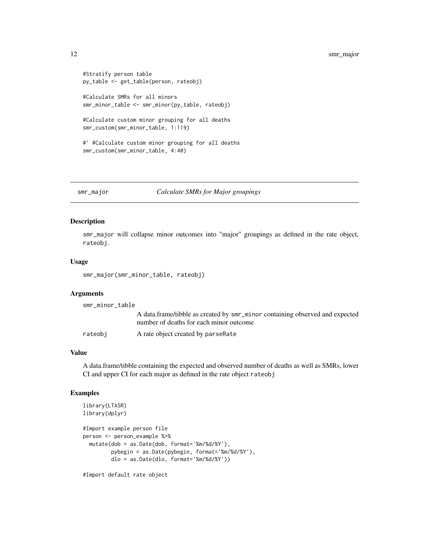```
#Stratify person table
py_table <- get_table(person, rateobj)
#Calculate SMRs for all minors
smr_minor_table <- smr_minor(py_table, rateobj)
```
#Calculate custom minor grouping for all deaths smr\_custom(smr\_minor\_table, 1:119)

#' #Calculate custom minor grouping for all deaths smr\_custom(smr\_minor\_table, 4:40)

smr\_major *Calculate SMRs for Major groupings*

#### Description

smr\_major will collapse minor outcomes into "major" groupings as defined in the rate object, rateobj.

#### Usage

smr\_major(smr\_minor\_table, rateobj)

#### **Arguments**

smr\_minor\_table A data.frame/tibble as created by smr\_minor containing observed and expected number of deaths for each minor outcome rateobj A rate object created by parseRate

#### Value

A data.frame/tibble containing the expected and observed number of deaths as well as SMRs, lower CI and upper CI for each major as defined in the rate object rateobj

#### Examples

```
library(LTASR)
library(dplyr)
#Import example person file
person <- person_example %>%
 mutate(dob = as.Date(dob, format='%m/%d/%Y'),
        pybegin = as.Date(pybegin, format='%m/%d/%Y'),
        dlo = as.Date(dlo, format='%m/%d/%Y'))
```
#Import default rate object

<span id="page-11-0"></span>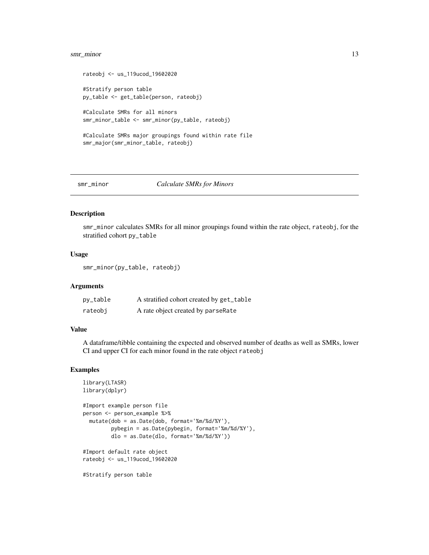## <span id="page-12-0"></span>smr\_minor 13

```
rateobj <- us_119ucod_19602020
#Stratify person table
py_table <- get_table(person, rateobj)
#Calculate SMRs for all minors
smr_minor_table <- smr_minor(py_table, rateobj)
#Calculate SMRs major groupings found within rate file
```

```
smr_major(smr_minor_table, rateobj)
```
#### smr\_minor *Calculate SMRs for Minors*

## Description

smr\_minor calculates SMRs for all minor groupings found within the rate object, rateobj, for the stratified cohort py\_table

## Usage

```
smr_minor(py_table, rateobj)
```
#### Arguments

| py_table | A stratified cohort created by get_table |
|----------|------------------------------------------|
| rateobj  | A rate object created by parseRate       |

#### Value

A dataframe/tibble containing the expected and observed number of deaths as well as SMRs, lower CI and upper CI for each minor found in the rate object rateobj

```
library(LTASR)
library(dplyr)
#Import example person file
person <- person_example %>%
 mutate(dob = as.Date(dob, format='%m/%d/%Y'),
         pybegin = as.Date(pybegin, format='%m/%d/%Y'),
        dlo = as.Date(dlo, format='%m/%d/%Y'))
#Import default rate object
rateobj <- us_119ucod_19602020
#Stratify person table
```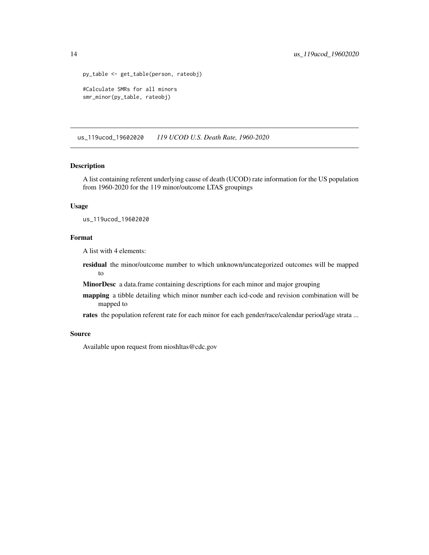```
py_table <- get_table(person, rateobj)
#Calculate SMRs for all minors
smr_minor(py_table, rateobj)
```
us\_119ucod\_19602020 *119 UCOD U.S. Death Rate, 1960-2020*

## Description

A list containing referent underlying cause of death (UCOD) rate information for the US population from 1960-2020 for the 119 minor/outcome LTAS groupings

#### Usage

us\_119ucod\_19602020

#### Format

A list with 4 elements:

residual the minor/outcome number to which unknown/uncategorized outcomes will be mapped to

MinorDesc a data.frame containing descriptions for each minor and major grouping

mapping a tibble detailing which minor number each icd-code and revision combination will be mapped to

rates the population referent rate for each minor for each gender/race/calendar period/age strata ...

#### Source

Available upon request from nioshltas@cdc.gov

<span id="page-13-0"></span>